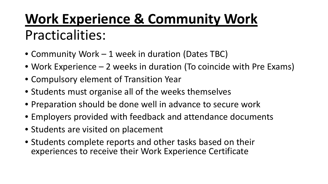## **Work Experience & Community Work**  Practicalities:

- Community Work 1 week in duration (Dates TBC)
- Work Experience 2 weeks in duration (To coincide with Pre Exams)
- Compulsory element of Transition Year
- Students must organise all of the weeks themselves
- Preparation should be done well in advance to secure work
- Employers provided with feedback and attendance documents
- Students are visited on placement
- Students complete reports and other tasks based on their experiences to receive their Work Experience Certificate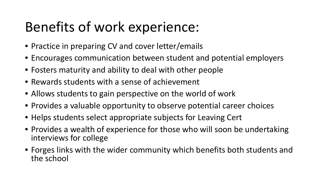## Benefits of work experience:

- Practice in preparing CV and cover letter/emails
- Encourages communication between student and potential employers
- Fosters maturity and ability to deal with other people
- Rewards students with a sense of achievement
- Allows students to gain perspective on the world of work
- Provides a valuable opportunity to observe potential career choices
- Helps students select appropriate subjects for Leaving Cert
- Provides a wealth of experience for those who will soon be undertaking interviews for college
- Forges links with the wider community which benefits both students and the school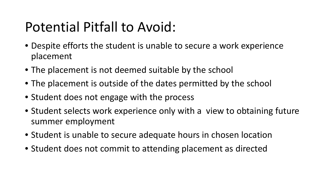## Potential Pitfall to Avoid:

- Despite efforts the student is unable to secure a work experience placement
- The placement is not deemed suitable by the school
- The placement is outside of the dates permitted by the school
- Student does not engage with the process
- Student selects work experience only with a view to obtaining future summer employment
- Student is unable to secure adequate hours in chosen location
- Student does not commit to attending placement as directed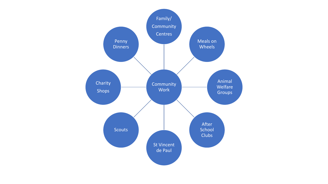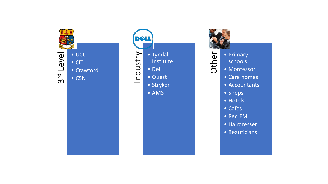